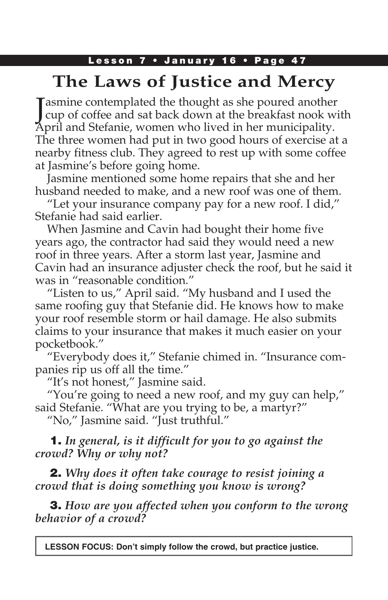### Lesson 7 • January 16 • Page 47

# **The Laws of Justice and Mercy**

Jasmine contemplated the thought as she poured another<br>cup of coffee and sat back down at the breakfast nook wi cup of coffee and sat back down at the breakfast nook with April and Stefanie, women who lived in her municipality. The three women had put in two good hours of exercise at a nearby fitness club. They agreed to rest up with some coffee at Jasmine's before going home.

Jasmine mentioned some home repairs that she and her husband needed to make, and a new roof was one of them.

"Let your insurance company pay for a new roof. I did," Stefanie had said earlier.

When Jasmine and Cavin had bought their home five years ago, the contractor had said they would need a new roof in three years. After a storm last year, Jasmine and Cavin had an insurance adjuster check the roof, but he said it was in "reasonable condition."

"Listen to us," April said. "My husband and I used the same roofing guy that Stefanie did. He knows how to make your roof resemble storm or hail damage. He also submits claims to your insurance that makes it much easier on your pocketbook."

"Everybody does it," Stefanie chimed in. "Insurance companies rip us off all the time."

"It's not honest," Jasmine said.

"You're going to need a new roof, and my guy can help," said Stefanie. "What are you trying to be, a martyr?"

"No," Jasmine said. "Just truthful."

### 1. *In general, is it difficult for you to go against the crowd? Why or why not?*

2. *Why does it often take courage to resist joining a crowd that is doing something you know is wrong?*

3. *How are you affected when you conform to the wrong behavior of a crowd?*

**LESSON FOCUS: Don't simply follow the crowd, but practice justice.**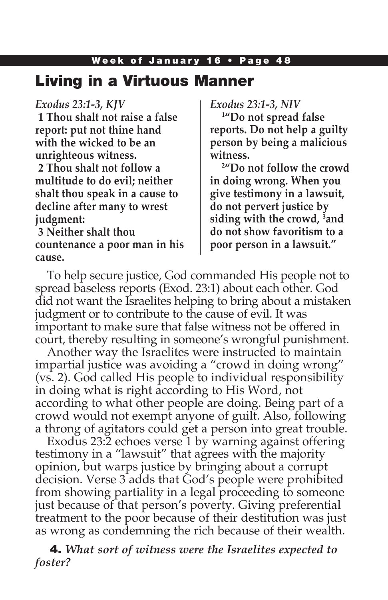# Living in a Virtuous Manner

## *Exodus 23:1-3, KJV*

**1 Thou shalt not raise a false report: put not thine hand with the wicked to be an unrighteous witness. 2 Thou shalt not follow a multitude to do evil; neither shalt thou speak in a cause to decline after many to wrest judgment:**

**3 Neither shalt thou countenance a poor man in his cause.**

*Exodus 23:1-3, NIV*

**1 "Do not spread false reports. Do not help a guilty person by being a malicious witness.**

**2 "Do not follow the crowd in doing wrong. When you give testimony in a lawsuit, do not pervert justice by siding with the crowd, 3 and do not show favoritism to a poor person in a lawsuit."**

To help secure justice, God commanded His people not to spread baseless reports (Exod. 23:1) about each other. God did not want the Israelites helping to bring about a mistaken judgment or to contribute to the cause of evil. It was important to make sure that false witness not be offered in court, thereby resulting in someone's wrongful punishment.

Another way the Israelites were instructed to maintain impartial justice was avoiding a "crowd in doing wrong" (vs. 2). God called His people to individual responsibility in doing what is right according to His Word, not according to what other people are doing. Being part of a crowd would not exempt anyone of guilt. Also, following a throng of agitators could get a person into great trouble.

Exodus 23:2 echoes verse 1 by warning against offering testimony in a "lawsuit" that agrees with the majority opinion, but warps justice by bringing about a corrupt decision. Verse 3 adds that God's people were prohibited from showing partiality in a legal proceeding to someone just because of that person's poverty. Giving preferential treatment to the poor because of their destitution was just as wrong as condemning the rich because of their wealth.

4. *What sort of witness were the Israelites expected to foster?*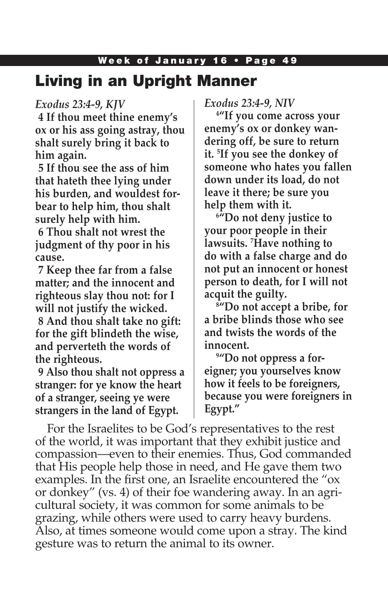#### Week of January 16 . Page 49

## Living in an Upright Manner

#### *Exodus 23:4-9, KJV*

**4 If thou meet thine enemy's ox or his ass going astray, thou shalt surely bring it back to him again.**

**5 If thou see the ass of him that hateth thee lying under his burden, and wouldest forbear to help him, thou shalt surely help with him.**

**6 Thou shalt not wrest the judgment of thy poor in his cause.**

**7 Keep thee far from a false matter; and the innocent and righteous slay thou not: for I will not justify the wicked.**

**8 And thou shalt take no gift: for the gift blindeth the wise, and perverteth the words of the righteous.**

**9 Also thou shalt not oppress a stranger: for ye know the heart of a stranger, seeing ye were strangers in the land of Egypt.**

*Exodus 23:4-9, NIV*

**4 "If you come across your enemy's ox or donkey wandering off, be sure to return it. 5 If you see the donkey of someone who hates you fallen down under its load, do not leave it there; be sure you help them with it.**

**6 "Do not deny justice to your poor people in their lawsuits. 7 Have nothing to do with a false charge and do not put an innocent or honest person to death, for I will not acquit the guilty.**

**8 "Do not accept a bribe, for a bribe blinds those who see and twists the words of the innocent.**

**9 "Do not oppress a foreigner; you yourselves know how it feels to be foreigners, because you were foreigners in Egypt."**

For the Israelites to be God's representatives to the rest of the world, it was important that they exhibit justice and compassion—even to their enemies. Thus, God commanded that His people help those in need, and He gave them two examples. In the first one, an Israelite encountered the "ox or donkey" (vs. 4) of their foe wandering away. In an agricultural society, it was common for some animals to be grazing, while others were used to carry heavy burdens. Also, at times someone would come upon a stray. The kind gesture was to return the animal to its owner.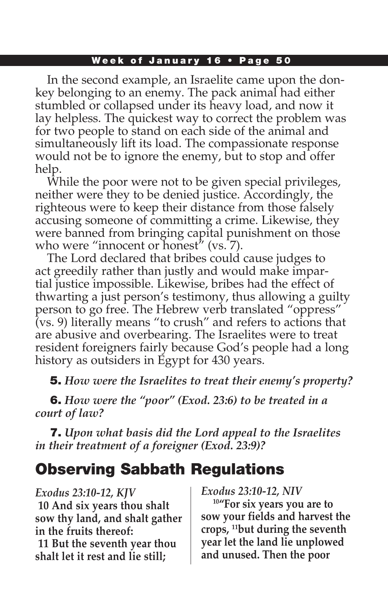#### Week of January 16 • Page 50

In the second example, an Israelite came upon the donkey belonging to an enemy. The pack animal had either stumbled or collapsed under its heavy load, and now it lay helpless. The quickest way to correct the problem was for two people to stand on each side of the animal and simultaneously lift its load. The compassionate response would not be to ignore the enemy, but to stop and offer help.

While the poor were not to be given special privileges, neither were they to be denied justice. Accordingly, the righteous were to keep their distance from those falsely accusing someone of committing a crime. Likewise, they were banned from bringing capital punishment on those who were "innocent or honest" (vs. 7).

The Lord declared that bribes could cause judges to act greedily rather than justly and would make impartial justice impossible. Likewise, bribes had the effect of thwarting a just person's testimony, thus allowing a guilty person to go free. The Hebrew verb translated "oppress" (vs. 9) literally means "to crush" and refers to actions that are abusive and overbearing. The Israelites were to treat resident foreigners fairly because God's people had a long history as outsiders in Egypt for 430 years.

5. *How were the Israelites to treat their enemy's property?*

6. *How were the "poor" (Exod. 23:6) to be treated in a court of law?*

7. *Upon what basis did the Lord appeal to the Israelites in their treatment of a foreigner (Exod. 23:9)?*

# Observing Sabbath Regulations

*Exodus 23:10-12, KJV* **10 And six years thou shalt sow thy land, and shalt gather in the fruits thereof:**

**11 But the seventh year thou shalt let it rest and lie still;** 

*Exodus 23:10-12, NIV*

**10"For six years you are to sow your fields and harvest the crops, 11but during the seventh year let the land lie unplowed and unused. Then the poor**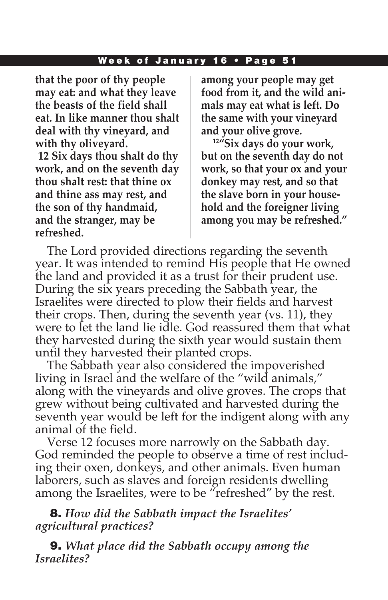#### Week of January 16 • Page 51

**that the poor of thy people may eat: and what they leave the beasts of the field shall eat. In like manner thou shalt deal with thy vineyard, and with thy oliveyard.**

**12 Six days thou shalt do thy work, and on the seventh day thou shalt rest: that thine ox and thine ass may rest, and the son of thy handmaid, and the stranger, may be refreshed.**

**among your people may get food from it, and the wild animals may eat what is left. Do the same with your vineyard and your olive grove.**

**12"Six days do your work, but on the seventh day do not work, so that your ox and your donkey may rest, and so that the slave born in your household and the foreigner living among you may be refreshed."**

The Lord provided directions regarding the seventh year. It was intended to remind His people that He owned the land and provided it as a trust for their prudent use. During the six years preceding the Sabbath year, the Israelites were directed to plow their fields and harvest their crops. Then, during the seventh year (vs. 11), they were to let the land lie idle. God reassured them that what they harvested during the sixth year would sustain them until they harvested their planted crops.

The Sabbath year also considered the impoverished living in Israel and the welfare of the "wild animals," along with the vineyards and olive groves. The crops that grew without being cultivated and harvested during the seventh year would be left for the indigent along with any animal of the field.

Verse 12 focuses more narrowly on the Sabbath day. God reminded the people to observe a time of rest including their oxen, donkeys, and other animals. Even human laborers, such as slaves and foreign residents dwelling among the Israelites, were to be "refreshed" by the rest.

8. *How did the Sabbath impact the Israelites' agricultural practices?*

9. *What place did the Sabbath occupy among the Israelites?*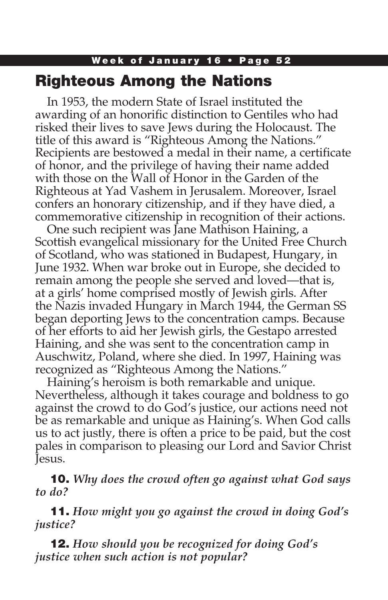# Week of January 16 • Page 52 Righteous Among the Nations

In 1953, the modern State of Israel instituted the awarding of an honorific distinction to Gentiles who had risked their lives to save Jews during the Holocaust. The title of this award is "Righteous Among the Nations." Recipients are bestowed a medal in their name, a certificate of honor, and the privilege of having their name added with those on the Wall of Honor in the Garden of the Righteous at Yad Vashem in Jerusalem. Moreover, Israel confers an honorary citizenship, and if they have died, a commemorative citizenship in recognition of their actions.

One such recipient was Jane Mathison Haining, a Scottish evangelical missionary for the United Free Church of Scotland, who was stationed in Budapest, Hungary, in June 1932. When war broke out in Europe, she decided to remain among the people she served and loved—that is, at a girls' home comprised mostly of Jewish girls. After the Nazis invaded Hungary in March 1944, the German SS began deporting Jews to the concentration camps. Because of her efforts to aid her Jewish girls, the Gestapo arrested Haining, and she was sent to the concentration camp in Auschwitz, Poland, where she died. In 1997, Haining was recognized as "Righteous Among the Nations."

Haining's heroism is both remarkable and unique. Nevertheless, although it takes courage and boldness to go against the crowd to do God's justice, our actions need not be as remarkable and unique as Haining's. When God calls us to act justly, there is often a price to be paid, but the cost pales in comparison to pleasing our Lord and Savior Christ Jesus.

10. *Why does the crowd often go against what God says to do?*

11. *How might you go against the crowd in doing God's justice?*

12. *How should you be recognized for doing God's justice when such action is not popular?*